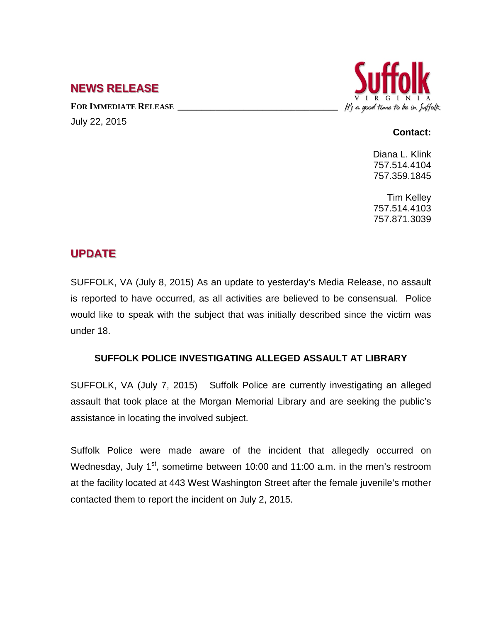## **NEWS RELEASE**

FOR **IMMEDIATE RELEASE** July 22, 2015



## **Contact:**

Diana L. Klink 757.514.4104 757.359.1845

Tim Kelley 757.514.4103 757.871.3039

## **UPDATE**

SUFFOLK, VA (July 8, 2015) As an update to yesterday's Media Release, no assault is reported to have occurred, as all activities are believed to be consensual. Police would like to speak with the subject that was initially described since the victim was under 18.

## **SUFFOLK POLICE INVESTIGATING ALLEGED ASSAULT AT LIBRARY**

SUFFOLK, VA (July 7, 2015) Suffolk Police are currently investigating an alleged assault that took place at the Morgan Memorial Library and are seeking the public's assistance in locating the involved subject.

Suffolk Police were made aware of the incident that allegedly occurred on Wednesday, July 1<sup>st</sup>, sometime between 10:00 and 11:00 a.m. in the men's restroom at the facility located at 443 West Washington Street after the female juvenile's mother contacted them to report the incident on July 2, 2015.